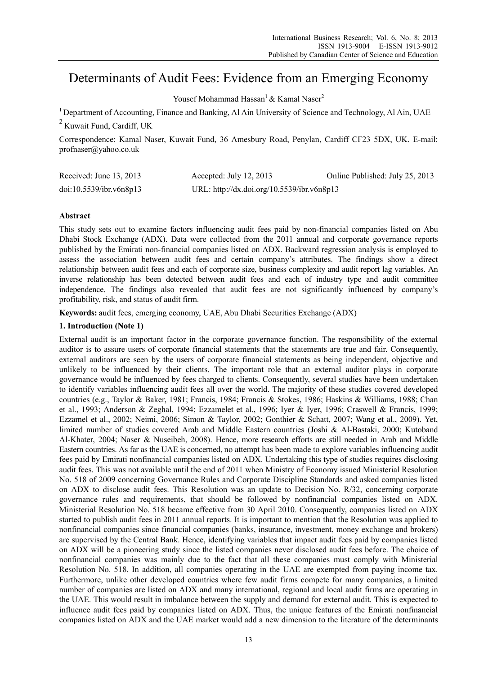# Determinants of Audit Fees: Evidence from an Emerging Economy

Yousef Mohammad Hassan<sup>1</sup> & Kamal Naser<sup>2</sup>

<sup>1</sup> Department of Accounting, Finance and Banking, Al Ain University of Science and Technology, Al Ain, UAE

2 Kuwait Fund, Cardiff, UK

Correspondence: Kamal Naser, Kuwait Fund, 36 Amesbury Road, Penylan, Cardiff CF23 5DX, UK. E-mail: profnaser@yahoo.co.uk

| Received: June $13, 2013$ | Accepted: July 12, 2013                    | Online Published: July 25, 2013 |
|---------------------------|--------------------------------------------|---------------------------------|
| doi:10.5539/ibr.v6n8p13   | URL: http://dx.doi.org/10.5539/ibr.v6n8p13 |                                 |

# **Abstract**

This study sets out to examine factors influencing audit fees paid by non-financial companies listed on Abu Dhabi Stock Exchange (ADX). Data were collected from the 2011 annual and corporate governance reports published by the Emirati non-financial companies listed on ADX. Backward regression analysis is employed to assess the association between audit fees and certain company's attributes. The findings show a direct relationship between audit fees and each of corporate size, business complexity and audit report lag variables. An inverse relationship has been detected between audit fees and each of industry type and audit committee independence. The findings also revealed that audit fees are not significantly influenced by company's profitability, risk, and status of audit firm.

**Keywords:** audit fees, emerging economy, UAE, Abu Dhabi Securities Exchange (ADX)

# **1. Introduction (Note 1)**

External audit is an important factor in the corporate governance function. The responsibility of the external auditor is to assure users of corporate financial statements that the statements are true and fair. Consequently, external auditors are seen by the users of corporate financial statements as being independent, objective and unlikely to be influenced by their clients. The important role that an external auditor plays in corporate governance would be influenced by fees charged to clients. Consequently, several studies have been undertaken to identify variables influencing audit fees all over the world. The majority of these studies covered developed countries (e.g., Taylor & Baker, 1981; Francis, 1984; Francis & Stokes, 1986; Haskins & Williams, 1988; Chan et al., 1993; Anderson & Zeghal, 1994; Ezzamelet et al., 1996; Iyer & Iyer, 1996; Craswell & Francis, 1999; Ezzamel et al., 2002; Neimi, 2006; Simon & Taylor, 2002; Gonthier & Schatt, 2007; Wang et al., 2009). Yet, limited number of studies covered Arab and Middle Eastern countries (Joshi & Al-Bastaki, 2000; Kutoband Al-Khater, 2004; Naser & Nuseibeh, 2008). Hence, more research efforts are still needed in Arab and Middle Eastern countries. As far as the UAE is concerned, no attempt has been made to explore variables influencing audit fees paid by Emirati nonfinancial companies listed on ADX. Undertaking this type of studies requires disclosing audit fees. This was not available until the end of 2011 when Ministry of Economy issued Ministerial Resolution No. 518 of 2009 concerning Governance Rules and Corporate Discipline Standards and asked companies listed on ADX to disclose audit fees. This Resolution was an update to Decision No. R/32, concerning corporate governance rules and requirements, that should be followed by nonfinancial companies listed on ADX. Ministerial Resolution No. 518 became effective from 30 April 2010. Consequently, companies listed on ADX started to publish audit fees in 2011 annual reports. It is important to mention that the Resolution was applied to nonfinancial companies since financial companies (banks, insurance, investment, money exchange and brokers) are supervised by the Central Bank. Hence, identifying variables that impact audit fees paid by companies listed on ADX will be a pioneering study since the listed companies never disclosed audit fees before. The choice of nonfinancial companies was mainly due to the fact that all these companies must comply with Ministerial Resolution No. 518. In addition, all companies operating in the UAE are exempted from paying income tax. Furthermore, unlike other developed countries where few audit firms compete for many companies, a limited number of companies are listed on ADX and many international, regional and local audit firms are operating in the UAE. This would result in imbalance between the supply and demand for external audit. This is expected to influence audit fees paid by companies listed on ADX. Thus, the unique features of the Emirati nonfinancial companies listed on ADX and the UAE market would add a new dimension to the literature of the determinants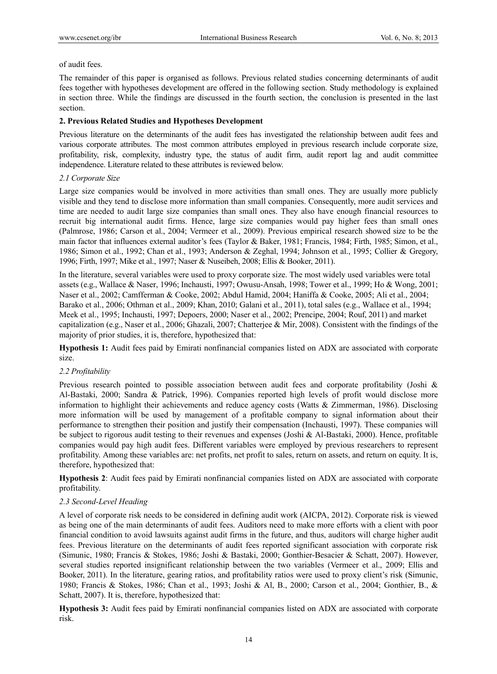#### of audit fees.

The remainder of this paper is organised as follows. Previous related studies concerning determinants of audit fees together with hypotheses development are offered in the following section. Study methodology is explained in section three. While the findings are discussed in the fourth section, the conclusion is presented in the last section.

# **2. Previous Related Studies and Hypotheses Development**

Previous literature on the determinants of the audit fees has investigated the relationship between audit fees and various corporate attributes. The most common attributes employed in previous research include corporate size, profitability, risk, complexity, industry type, the status of audit firm, audit report lag and audit committee independence. Literature related to these attributes is reviewed below.

## *2.1 Corporate Size*

Large size companies would be involved in more activities than small ones. They are usually more publicly visible and they tend to disclose more information than small companies. Consequently, more audit services and time are needed to audit large size companies than small ones. They also have enough financial resources to recruit big international audit firms. Hence, large size companies would pay higher fees than small ones (Palmrose, 1986; Carson et al., 2004; Vermeer et al., 2009). Previous empirical research showed size to be the main factor that influences external auditor's fees (Taylor & Baker, 1981; Francis, 1984; Firth, 1985; Simon, et al., 1986; Simon et al., 1992; Chan et al., 1993; Anderson & Zeghal, 1994; Johnson et al., 1995; Collier & Gregory, 1996; Firth, 1997; Mike et al., 1997; Naser & Nuseibeh, 2008; Ellis & Booker, 2011).

In the literature, several variables were used to proxy corporate size. The most widely used variables were total assets (e.g., Wallace & Naser, 1996; Inchausti, 1997; Owusu-Ansah, 1998; Tower et al., 1999; Ho & Wong, 2001; Naser et al., 2002; Camfferman & Cooke, 2002; Abdul Hamid, 2004; Haniffa & Cooke, 2005; Ali et al., 2004; Barako et al., 2006; Othman et al., 2009; Khan, 2010; Galani et al., 2011), total sales (e.g., Wallace et al., 1994; Meek et al., 1995; Inchausti, 1997; Depoers, 2000; Naser et al., 2002; Prencipe, 2004; Rouf, 2011) and market capitalization (e.g., Naser et al., 2006; Ghazali, 2007; Chatterjee & Mir, 2008). Consistent with the findings of the majority of prior studies, it is, therefore, hypothesized that:

**Hypothesis 1:** Audit fees paid by Emirati nonfinancial companies listed on ADX are associated with corporate size.

# *2.2 Profitability*

Previous research pointed to possible association between audit fees and corporate profitability (Joshi & Al-Bastaki, 2000; Sandra & Patrick, 1996). Companies reported high levels of profit would disclose more information to highlight their achievements and reduce agency costs (Watts & Zimmerman, 1986). Disclosing more information will be used by management of a profitable company to signal information about their performance to strengthen their position and justify their compensation (Inchausti, 1997). These companies will be subject to rigorous audit testing to their revenues and expenses (Joshi & Al-Bastaki, 2000). Hence, profitable companies would pay high audit fees. Different variables were employed by previous researchers to represent profitability. Among these variables are: net profits, net profit to sales, return on assets, and return on equity. It is, therefore, hypothesized that:

**Hypothesis 2**: Audit fees paid by Emirati nonfinancial companies listed on ADX are associated with corporate profitability.

# *2.3 Second-Level Heading*

A level of corporate risk needs to be considered in defining audit work (AICPA, 2012). Corporate risk is viewed as being one of the main determinants of audit fees. Auditors need to make more efforts with a client with poor financial condition to avoid lawsuits against audit firms in the future, and thus, auditors will charge higher audit fees. Previous literature on the determinants of audit fees reported significant association with corporate risk (Simunic, 1980; Francis & Stokes, 1986; Joshi & Bastaki, 2000; Gonthier-Besacier & Schatt, 2007). However, several studies reported insignificant relationship between the two variables (Vermeer et al., 2009; Ellis and Booker, 2011). In the literature, gearing ratios, and profitability ratios were used to proxy client's risk (Simunic, 1980; Francis & Stokes, 1986; Chan et al., 1993; Joshi & Al, B., 2000; Carson et al., 2004; Gonthier, B., & Schatt, 2007). It is, therefore, hypothesized that:

**Hypothesis 3:** Audit fees paid by Emirati nonfinancial companies listed on ADX are associated with corporate risk.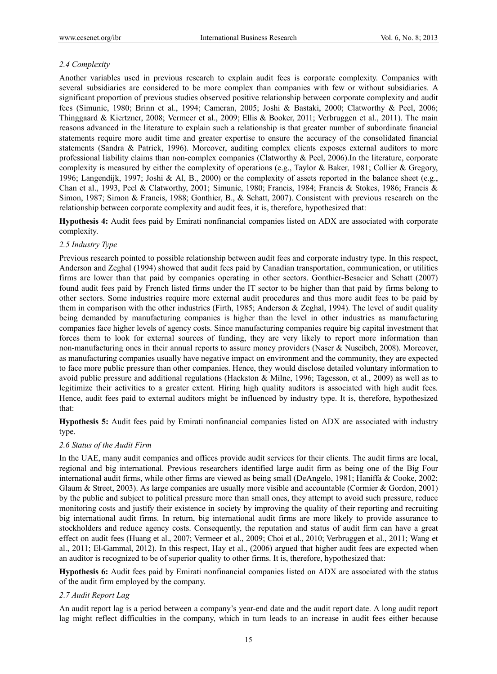# *2.4 Complexity*

Another variables used in previous research to explain audit fees is corporate complexity. Companies with several subsidiaries are considered to be more complex than companies with few or without subsidiaries. A significant proportion of previous studies observed positive relationship between corporate complexity and audit fees (Simunic, 1980; Brinn et al., 1994; Cameran, 2005; Joshi & Bastaki, 2000; Clatworthy & Peel, 2006; Thinggaard & Kiertzner, 2008; Vermeer et al., 2009; Ellis & Booker, 2011; Verbruggen et al., 2011). The main reasons advanced in the literature to explain such a relationship is that greater number of subordinate financial statements require more audit time and greater expertise to ensure the accuracy of the consolidated financial statements (Sandra & Patrick, 1996). Moreover, auditing complex clients exposes external auditors to more professional liability claims than non-complex companies (Clatworthy & Peel, 2006).In the literature, corporate complexity is measured by either the complexity of operations (e.g., Taylor & Baker, 1981; Collier & Gregory, 1996; Langendijk, 1997; Joshi & Al, B., 2000) or the complexity of assets reported in the balance sheet (e.g., Chan et al., 1993, Peel & Clatworthy, 2001; Simunic, 1980; Francis, 1984; Francis & Stokes, 1986; Francis & Simon, 1987; Simon & Francis, 1988; Gonthier, B., & Schatt, 2007). Consistent with previous research on the relationship between corporate complexity and audit fees, it is, therefore, hypothesized that:

**Hypothesis 4:** Audit fees paid by Emirati nonfinancial companies listed on ADX are associated with corporate complexity.

#### *2.5 Industry Type*

Previous research pointed to possible relationship between audit fees and corporate industry type. In this respect, Anderson and Zeghal (1994) showed that audit fees paid by Canadian transportation, communication, or utilities firms are lower than that paid by companies operating in other sectors. Gonthier-Besacier and Schatt (2007) found audit fees paid by French listed firms under the IT sector to be higher than that paid by firms belong to other sectors. Some industries require more external audit procedures and thus more audit fees to be paid by them in comparison with the other industries (Firth, 1985; Anderson & Zeghal, 1994). The level of audit quality being demanded by manufacturing companies is higher than the level in other industries as manufacturing companies face higher levels of agency costs. Since manufacturing companies require big capital investment that forces them to look for external sources of funding, they are very likely to report more information than non-manufacturing ones in their annual reports to assure money providers (Naser & Nuseibeh, 2008). Moreover, as manufacturing companies usually have negative impact on environment and the community, they are expected to face more public pressure than other companies. Hence, they would disclose detailed voluntary information to avoid public pressure and additional regulations (Hackston & Milne, 1996; Tagesson, et al., 2009) as well as to legitimize their activities to a greater extent. Hiring high quality auditors is associated with high audit fees. Hence, audit fees paid to external auditors might be influenced by industry type. It is, therefore, hypothesized that:

**Hypothesis 5:** Audit fees paid by Emirati nonfinancial companies listed on ADX are associated with industry type.

#### *2.6 Status of the Audit Firm*

In the UAE, many audit companies and offices provide audit services for their clients. The audit firms are local, regional and big international. Previous researchers identified large audit firm as being one of the Big Four international audit firms, while other firms are viewed as being small (DeAngelo, 1981; Haniffa & Cooke, 2002; Glaum & Street, 2003). As large companies are usually more visible and accountable (Cormier & Gordon, 2001) by the public and subject to political pressure more than small ones, they attempt to avoid such pressure, reduce monitoring costs and justify their existence in society by improving the quality of their reporting and recruiting big international audit firms. In return, big international audit firms are more likely to provide assurance to stockholders and reduce agency costs. Consequently, the reputation and status of audit firm can have a great effect on audit fees (Huang et al., 2007; Vermeer et al., 2009; Choi et al., 2010; Verbruggen et al., 2011; Wang et al., 2011; El-Gammal, 2012). In this respect, Hay et al., (2006) argued that higher audit fees are expected when an auditor is recognized to be of superior quality to other firms. It is, therefore, hypothesized that:

**Hypothesis 6:** Audit fees paid by Emirati nonfinancial companies listed on ADX are associated with the status of the audit firm employed by the company.

#### *2.7 Audit Report Lag*

An audit report lag is a period between a company's year-end date and the audit report date. A long audit report lag might reflect difficulties in the company, which in turn leads to an increase in audit fees either because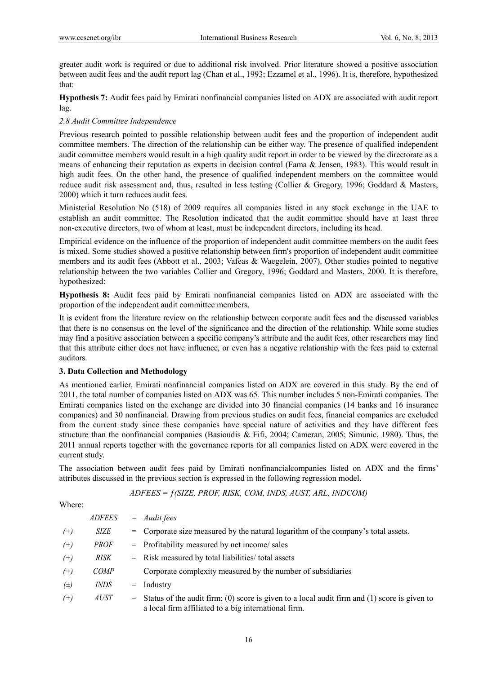greater audit work is required or due to additional risk involved. Prior literature showed a positive association between audit fees and the audit report lag (Chan et al., 1993; Ezzamel et al., 1996). It is, therefore, hypothesized that:

**Hypothesis 7:** Audit fees paid by Emirati nonfinancial companies listed on ADX are associated with audit report lag.

## *2.8 Audit Committee Independence*

Previous research pointed to possible relationship between audit fees and the proportion of independent audit committee members. The direction of the relationship can be either way. The presence of qualified independent audit committee members would result in a high quality audit report in order to be viewed by the directorate as a means of enhancing their reputation as experts in decision control (Fama & Jensen, 1983). This would result in high audit fees. On the other hand, the presence of qualified independent members on the committee would reduce audit risk assessment and, thus, resulted in less testing (Collier & Gregory, 1996; Goddard & Masters, 2000) which it turn reduces audit fees.

Ministerial Resolution No (518) of 2009 requires all companies listed in any stock exchange in the UAE to establish an audit committee. The Resolution indicated that the audit committee should have at least three non-executive directors, two of whom at least, must be independent directors, including its head.

Empirical evidence on the influence of the proportion of independent audit committee members on the audit fees is mixed. Some studies showed a positive relationship between firm's proportion of independent audit committee members and its audit fees (Abbott et al., 2003; Vafeas & Waegelein, 2007). Other studies pointed to negative relationship between the two variables Collier and Gregory, 1996; Goddard and Masters, 2000. It is therefore, hypothesized:

**Hypothesis 8:** Audit fees paid by Emirati nonfinancial companies listed on ADX are associated with the proportion of the independent audit committee members.

It is evident from the literature review on the relationship between corporate audit fees and the discussed variables that there is no consensus on the level of the significance and the direction of the relationship. While some studies may find a positive association between a specific company's attribute and the audit fees, other researchers may find that this attribute either does not have influence, or even has a negative relationship with the fees paid to external auditors.

# **3. Data Collection and Methodology**

Where:

As mentioned earlier, Emirati nonfinancial companies listed on ADX are covered in this study. By the end of 2011, the total number of companies listed on ADX was 65. This number includes 5 non-Emirati companies. The Emirati companies listed on the exchange are divided into 30 financial companies (14 banks and 16 insurance companies) and 30 nonfinancial. Drawing from previous studies on audit fees, financial companies are excluded from the current study since these companies have special nature of activities and they have different fees structure than the nonfinancial companies (Basioudis & Fifi, 2004; Cameran, 2005; Simunic, 1980). Thus, the 2011 annual reports together with the governance reports for all companies listed on ADX were covered in the current study.

The association between audit fees paid by Emirati nonfinancialcompanies listed on ADX and the firms' attributes discussed in the previous section is expressed in the following regression model.

# *ADFEES = ƒ(SIZE, PROF, RISK, COM, INDS, AUST, ARL, INDCOM)*

|          | <i><b>ADFEES</b></i> | $=$ | Audit fees                                                                                                                                           |
|----------|----------------------|-----|------------------------------------------------------------------------------------------------------------------------------------------------------|
| $^{(+)}$ | SIZE                 |     | = Corporate size measured by the natural logarithm of the company's total assets.                                                                    |
| $^{(+)}$ | <i>PROF</i>          | $=$ | Profitability measured by net income/sales                                                                                                           |
| $^{(+)}$ | RISK                 |     | = Risk measured by total liabilities/ total assets                                                                                                   |
| $^{(+)}$ | COMP                 |     | Corporate complexity measured by the number of subsidiaries                                                                                          |
| $(\pm)$  | <i>INDS</i>          | $=$ | Industry                                                                                                                                             |
| $^{(+)}$ | AUST                 | Ξ.  | Status of the audit firm; (0) score is given to a local audit firm and (1) score is given to<br>a local firm affiliated to a big international firm. |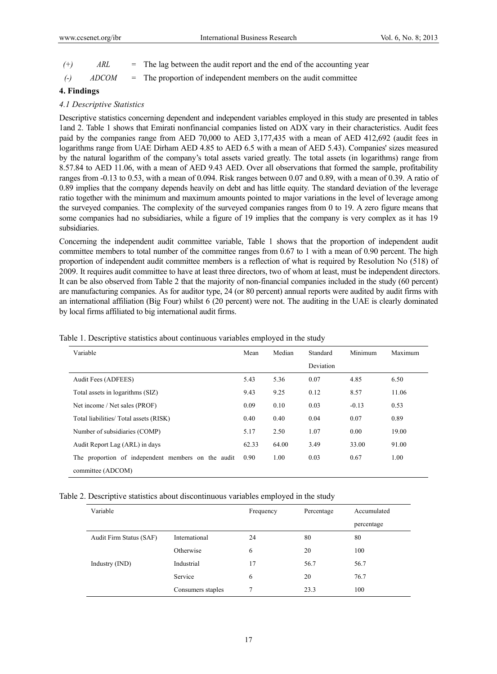*(+) ARL* = The lag between the audit report and the end of the accounting year

*(-) ADCOM* = The proportion of independent members on the audit committee

# **4. Findings**

# *4.1 Descriptive Statistics*

Descriptive statistics concerning dependent and independent variables employed in this study are presented in tables 1and 2. Table 1 shows that Emirati nonfinancial companies listed on ADX vary in their characteristics. Audit fees paid by the companies range from AED 70,000 to AED 3,177,435 with a mean of AED 412,692 (audit fees in logarithms range from UAE Dirham AED 4.85 to AED 6.5 with a mean of AED 5.43). Companies' sizes measured by the natural logarithm of the company's total assets varied greatly. The total assets (in logarithms) range from 8.57.84 to AED 11.06, with a mean of AED 9.43 AED. Over all observations that formed the sample, profitability ranges from -0.13 to 0.53, with a mean of 0.094. Risk ranges between 0.07 and 0.89, with a mean of 0.39. A ratio of 0.89 implies that the company depends heavily on debt and has little equity. The standard deviation of the leverage ratio together with the minimum and maximum amounts pointed to major variations in the level of leverage among the surveyed companies. The complexity of the surveyed companies ranges from 0 to 19. A zero figure means that some companies had no subsidiaries, while a figure of 19 implies that the company is very complex as it has 19 subsidiaries.

Concerning the independent audit committee variable, Table 1 shows that the proportion of independent audit committee members to total number of the committee ranges from 0.67 to 1 with a mean of 0.90 percent. The high proportion of independent audit committee members is a reflection of what is required by Resolution No (518) of 2009. It requires audit committee to have at least three directors, two of whom at least, must be independent directors. It can be also observed from Table 2 that the majority of non-financial companies included in the study (60 percent) are manufacturing companies. As for auditor type, 24 (or 80 percent) annual reports were audited by audit firms with an international affiliation (Big Four) whilst 6 (20 percent) were not. The auditing in the UAE is clearly dominated by local firms affiliated to big international audit firms.

| Variable                                           | Mean  | Median | Standard  | Minimum | Maximum |
|----------------------------------------------------|-------|--------|-----------|---------|---------|
|                                                    |       |        | Deviation |         |         |
| Audit Fees (ADFEES)                                | 5.43  | 5.36   | 0.07      | 4.85    | 6.50    |
| Total assets in logarithms (SIZ)                   | 9.43  | 9.25   | 0.12      | 8.57    | 11.06   |
| Net income / Net sales (PROF)                      | 0.09  | 0.10   | 0.03      | $-0.13$ | 0.53    |
| Total liabilities/ Total assets (RISK)             | 0.40  | 0.40   | 0.04      | 0.07    | 0.89    |
| Number of subsidiaries (COMP)                      | 5.17  | 2.50   | 1.07      | 0.00    | 19.00   |
| Audit Report Lag (ARL) in days                     | 62.33 | 64.00  | 3.49      | 33.00   | 91.00   |
| The proportion of independent members on the audit | 0.90  | 1.00   | 0.03      | 0.67    | 1.00    |
| committee (ADCOM)                                  |       |        |           |         |         |

Table 1. Descriptive statistics about continuous variables employed in the study

Table 2. Descriptive statistics about discontinuous variables employed in the study

| Variable                |                   | Frequency | Percentage | Accumulated |
|-------------------------|-------------------|-----------|------------|-------------|
|                         |                   |           |            | percentage  |
| Audit Firm Status (SAF) | International     | 24        | 80         | 80          |
|                         | Otherwise         | 6         | 20         | 100         |
| Industry (IND)          | Industrial        | 17        | 56.7       | 56.7        |
|                         | Service           | 6         | 20         | 76.7        |
|                         | Consumers staples | 7         | 23.3       | 100         |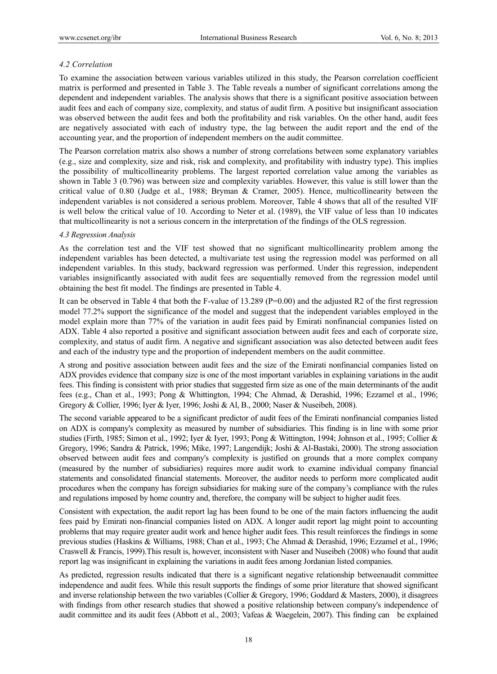## *4.2 Correlation*

To examine the association between various variables utilized in this study, the Pearson correlation coefficient matrix is performed and presented in Table 3. The Table reveals a number of significant correlations among the dependent and independent variables. The analysis shows that there is a significant positive association between audit fees and each of company size, complexity, and status of audit firm. A positive but insignificant association was observed between the audit fees and both the profitability and risk variables. On the other hand, audit fees are negatively associated with each of industry type, the lag between the audit report and the end of the accounting year, and the proportion of independent members on the audit committee.

The Pearson correlation matrix also shows a number of strong correlations between some explanatory variables (e.g., size and complexity, size and risk, risk and complexity, and profitability with industry type). This implies the possibility of multicollinearity problems. The largest reported correlation value among the variables as shown in Table 3 (0.796) was between size and complexity variables. However, this value is still lower than the critical value of 0.80 (Judge et al., 1988; Bryman & Cramer, 2005). Hence, multicollinearity between the independent variables is not considered a serious problem. Moreover, Table 4 shows that all of the resulted VIF is well below the critical value of 10. According to Neter et al. (1989), the VIF value of less than 10 indicates that multicollinearity is not a serious concern in the interpretation of the findings of the OLS regression.

## *4.3 Regression Analysis*

As the correlation test and the VIF test showed that no significant multicollinearity problem among the independent variables has been detected, a multivariate test using the regression model was performed on all independent variables. In this study, backward regression was performed. Under this regression, independent variables insignificantly associated with audit fees are sequentially removed from the regression model until obtaining the best fit model. The findings are presented in Table 4.

It can be observed in Table 4 that both the F-value of 13.289 ( $P=0.00$ ) and the adjusted R2 of the first regression model 77.2% support the significance of the model and suggest that the independent variables employed in the model explain more than 77% of the variation in audit fees paid by Emirati nonfinancial companies listed on ADX. Table 4 also reported a positive and significant association between audit fees and each of corporate size, complexity, and status of audit firm. A negative and significant association was also detected between audit fees and each of the industry type and the proportion of independent members on the audit committee.

A strong and positive association between audit fees and the size of the Emirati nonfinancial companies listed on ADX provides evidence that company size is one of the most important variables in explaining variations in the audit fees. This finding is consistent with prior studies that suggested firm size as one of the main determinants of the audit fees (e.g., Chan et al., 1993; Pong & Whittington, 1994; Che Ahmad, & Derashid, 1996; Ezzamel et al., 1996; Gregory & Collier, 1996; Iyer & Iyer, 1996; Joshi & Al, B., 2000; Naser & Nuseibeh, 2008).

The second variable appeared to be a significant predictor of audit fees of the Emirati nonfinancial companies listed on ADX is company's complexity as measured by number of subsidiaries. This finding is in line with some prior studies (Firth, 1985; Simon et al., 1992; Iyer & Iyer, 1993; Pong & Wittington, 1994; Johnson et al., 1995; Collier & Gregory, 1996; Sandra & Patrick, 1996; Mike, 1997; Langendijk; Joshi & Al-Bastaki, 2000). The strong association observed between audit fees and company's complexity is justified on grounds that a more complex company (measured by the number of subsidiaries) requires more audit work to examine individual company financial statements and consolidated financial statements. Moreover, the auditor needs to perform more complicated audit procedures when the company has foreign subsidiaries for making sure of the company's compliance with the rules and regulations imposed by home country and, therefore, the company will be subject to higher audit fees.

Consistent with expectation, the audit report lag has been found to be one of the main factors influencing the audit fees paid by Emirati non-financial companies listed on ADX. A longer audit report lag might point to accounting problems that may require greater audit work and hence higher audit fees. This result reinforces the findings in some previous studies (Haskins & Williams, 1988; Chan et al., 1993; Che Ahmad & Derashid, 1996; Ezzamel et al., 1996; Craswell & Francis, 1999).This result is, however, inconsistent with Naser and Nuseibeh (2008) who found that audit report lag was insignificant in explaining the variations in audit fees among Jordanian listed companies.

As predicted, regression results indicated that there is a significant negative relationship betweenaudit committee independence and audit fees. While this result supports the findings of some prior literature that showed significant and inverse relationship between the two variables (Collier & Gregory, 1996; Goddard & Masters, 2000), it disagrees with findings from other research studies that showed a positive relationship between company's independence of audit committee and its audit fees (Abbott et al., 2003; Vafeas & Waegelein, 2007). This finding can be explained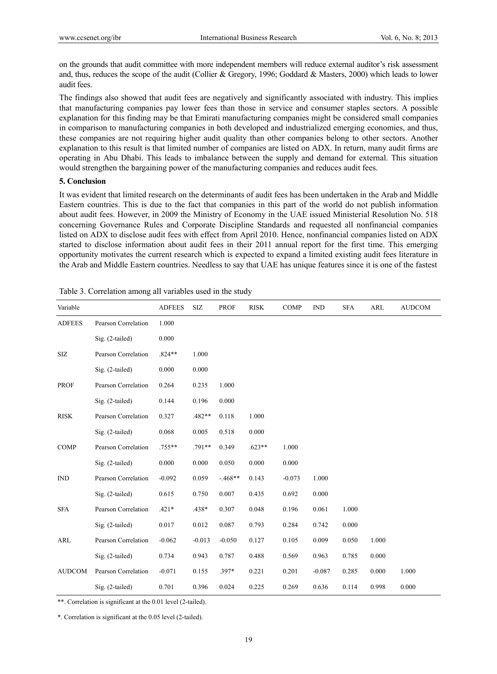on the grounds that audit committee with more independent members will reduce external auditor's risk assessment and, thus, reduces the scope of the audit (Collier & Gregory, 1996; Goddard & Masters, 2000) which leads to lower audit fees.

The findings also showed that audit fees are negatively and significantly associated with industry. This implies that manufacturing companies pay lower fees than those in service and consumer staples sectors. A possible explanation for this finding may be that Emirati manufacturing companies might be considered small companies in comparison to manufacturing companies in both developed and industrialized emerging economies, and thus, these companies are not requiring higher audit quality than other companies belong to other sectors. Another explanation to this result is that limited number of companies are listed on ADX. In return, many audit firms are operating in Abu Dhabi. This leads to imbalance between the supply and demand for external. This situation would strengthen the bargaining power of the manufacturing companies and reduces audit fees.

# **5. Conclusion**

It was evident that limited research on the determinants of audit fees has been undertaken in the Arab and Middle Eastern countries. This is due to the fact that companies in this part of the world do not publish information about audit fees. However, in 2009 the Ministry of Economy in the UAE issued Ministerial Resolution No. 518 concerning Governance Rules and Corporate Discipline Standards and requested all nonfinancial companies listed on ADX to disclose audit fees with effect from April 2010. Hence, nonfinancial companies listed on ADX started to disclose information about audit fees in their 2011 annual report for the first time. This emerging opportunity motivates the current research which is expected to expand a limited existing audit fees literature in the Arab and Middle Eastern countries. Needless to say that UAE has unique features since it is one of the fastest

| Variable      |                     | <b>ADFEES</b> | SIZ      | <b>PROF</b> | <b>RISK</b> | <b>COMP</b> | <b>IND</b> | <b>SFA</b> | ARL   | <b>AUDCOM</b> |
|---------------|---------------------|---------------|----------|-------------|-------------|-------------|------------|------------|-------|---------------|
| <b>ADFEES</b> | Pearson Correlation | 1.000         |          |             |             |             |            |            |       |               |
|               | $Sig. (2-tailed)$   | 0.000         |          |             |             |             |            |            |       |               |
| SIZ           | Pearson Correlation | .824**        | 1.000    |             |             |             |            |            |       |               |
|               | Sig. (2-tailed)     | 0.000         | 0.000    |             |             |             |            |            |       |               |
| <b>PROF</b>   | Pearson Correlation | 0.264         | 0.235    | 1.000       |             |             |            |            |       |               |
|               | Sig. (2-tailed)     | 0.144         | 0.196    | 0.000       |             |             |            |            |       |               |
| <b>RISK</b>   | Pearson Correlation | 0.327         | .482**   | 0.118       | 1.000       |             |            |            |       |               |
|               | Sig. (2-tailed)     | 0.068         | 0.005    | 0.518       | 0.000       |             |            |            |       |               |
| <b>COMP</b>   | Pearson Correlation | .755**        | .791**   | 0.349       | $.623**$    | 1.000       |            |            |       |               |
|               | Sig. (2-tailed)     | 0.000         | 0.000    | 0.050       | 0.000       | 0.000       |            |            |       |               |
| IND           | Pearson Correlation | $-0.092$      | 0.059    | $-468**$    | 0.143       | $-0.073$    | 1.000      |            |       |               |
|               | Sig. (2-tailed)     | 0.615         | 0.750    | 0.007       | 0.435       | 0.692       | 0.000      |            |       |               |
| <b>SFA</b>    | Pearson Correlation | $.421*$       | .438*    | 0.307       | 0.048       | 0.196       | 0.061      | 1.000      |       |               |
|               | Sig. (2-tailed)     | 0.017         | 0.012    | 0.087       | 0.793       | 0.284       | 0.742      | 0.000      |       |               |
| ARL           | Pearson Correlation | $-0.062$      | $-0.013$ | $-0.050$    | 0.127       | 0.105       | 0.009      | 0.050      | 1.000 |               |
|               | Sig. (2-tailed)     | 0.734         | 0.943    | 0.787       | 0.488       | 0.569       | 0.963      | 0.785      | 0.000 |               |
| <b>AUDCOM</b> | Pearson Correlation | $-0.071$      | 0.155    | $.397*$     | 0.221       | 0.201       | $-0.087$   | 0.285      | 0.000 | 1.000         |
|               | Sig. (2-tailed)     | 0.701         | 0.396    | 0.024       | 0.225       | 0.269       | 0.636      | 0.114      | 0.998 | 0.000         |

Table 3. Correlation among all variables used in the study

\*\*. Correlation is significant at the 0.01 level (2-tailed).

\*. Correlation is significant at the 0.05 level (2-tailed).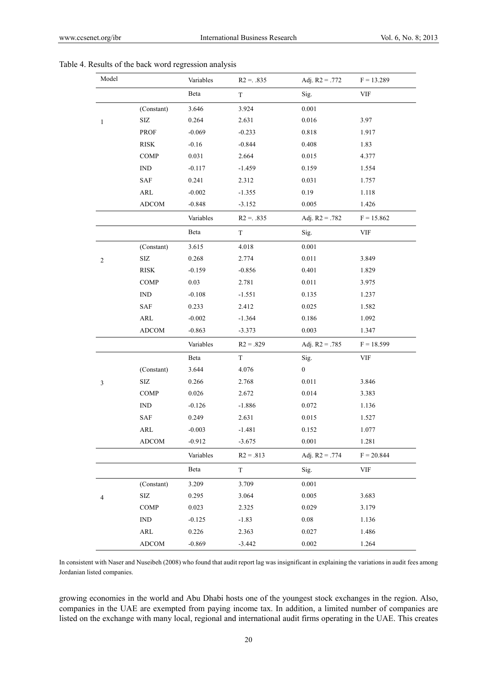| Model          |                             | Variables | $R2 = .835$ | Adj. $R2 = .772$ | $F = 13.289$ |
|----------------|-----------------------------|-----------|-------------|------------------|--------------|
|                |                             | Beta      | $\mathbf T$ | Sig.             | <b>VIF</b>   |
|                | (Constant)                  | 3.646     | 3.924       | 0.001            |              |
| $\mathbf{1}$   | $\rm{SIZ}$                  | 0.264     | 2.631       | 0.016            | 3.97         |
|                | PROF                        | $-0.069$  | $-0.233$    | 0.818            | 1.917        |
|                | <b>RISK</b>                 | $-0.16$   | $-0.844$    | 0.408            | 1.83         |
|                | <b>COMP</b>                 | 0.031     | 2.664       | 0.015            | 4.377        |
|                | IND                         | $-0.117$  | $-1.459$    | 0.159            | 1.554        |
|                | $\ensuremath{\mathsf{SAF}}$ | 0.241     | 2.312       | 0.031            | 1.757        |
|                | ARL                         | $-0.002$  | $-1.355$    | 0.19             | 1.118        |
|                | ADCOM                       | $-0.848$  | $-3.152$    | 0.005            | 1.426        |
|                |                             | Variables | $R2 = .835$ | Adj. $R2 = .782$ | $F = 15.862$ |
|                |                             | Beta      | $\mathbf T$ | Sig.             | <b>VIF</b>   |
|                | (Constant)                  | 3.615     | 4.018       | 0.001            |              |
| $\sqrt{2}$     | SIZ                         | 0.268     | 2.774       | 0.011            | 3.849        |
|                | <b>RISK</b>                 | $-0.159$  | $-0.856$    | 0.401            | 1.829        |
|                | <b>COMP</b>                 | 0.03      | 2.781       | 0.011            | 3.975        |
|                | $\mathop{\rm IND}\nolimits$ | $-0.108$  | $-1.551$    | 0.135            | 1.237        |
|                | SAF                         | 0.233     | 2.412       | 0.025            | 1.582        |
|                | ARL                         | $-0.002$  | $-1.364$    | 0.186            | 1.092        |
|                | ADCOM                       | $-0.863$  | $-3.373$    | 0.003            | 1.347        |
|                |                             | Variables | $R2 = .829$ | Adj. $R2 = .785$ | $F = 18.599$ |
|                |                             | Beta      | $\mathbf T$ | Sig.             | <b>VIF</b>   |
|                | (Constant)                  | 3.644     | 4.076       | $\boldsymbol{0}$ |              |
| $\mathfrak{Z}$ | $\rm{SIZ}$                  | 0.266     | 2.768       | 0.011            | 3.846        |
|                | <b>COMP</b>                 | 0.026     | 2.672       | 0.014            | 3.383        |
|                | IND                         | $-0.126$  | $-1.886$    | 0.072            | 1.136        |
|                | $\operatorname{SAF}$        | 0.249     | 2.631       | 0.015            | 1.527        |
|                | $\mathsf{ARL}$              | $-0.003$  | $-1.481$    | 0.152            | 1.077        |
|                | <b>ADCOM</b>                | $-0.912$  | $-3.675$    | 0.001            | 1.281        |
|                |                             | Variables | $R2 = .813$ | Adj. $R2 = .774$ | $F = 20.844$ |
|                |                             | Beta      | $\mathbf T$ | Sig.             | <b>VIF</b>   |
|                | (Constant)                  | 3.209     | 3.709       | 0.001            |              |
| 4              | $\rm{SIZ}$                  | 0.295     | 3.064       | 0.005            | 3.683        |
|                | <b>COMP</b>                 | 0.023     | 2.325       | 0.029            | 3.179        |
|                | $\mathop{\rm IND}\nolimits$ | $-0.125$  | $-1.83$     | 0.08             | 1.136        |
|                | ARL                         | 0.226     | 2.363       | 0.027            | 1.486        |
|                | <b>ADCOM</b>                | $-0.869$  | $-3.442$    | 0.002            | 1.264        |

Table 4. Results of the back word regression analysis

In consistent with Naser and Nuseibeh (2008) who found that audit report lag was insignificant in explaining the variations in audit fees among Jordanian listed companies.

growing economies in the world and Abu Dhabi hosts one of the youngest stock exchanges in the region. Also, companies in the UAE are exempted from paying income tax. In addition, a limited number of companies are listed on the exchange with many local, regional and international audit firms operating in the UAE. This creates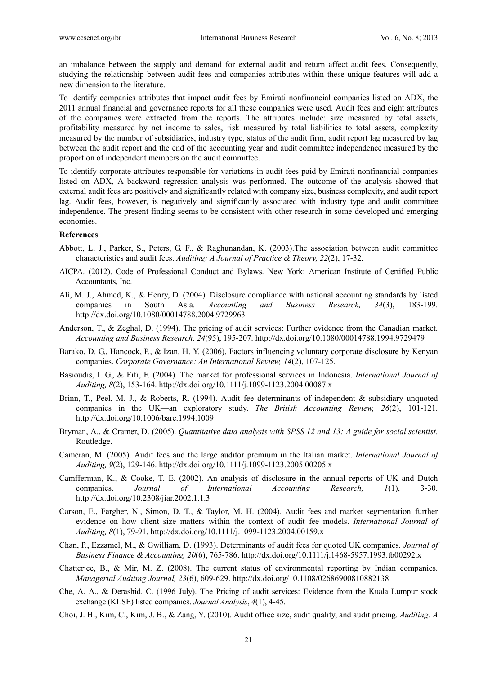an imbalance between the supply and demand for external audit and return affect audit fees. Consequently, studying the relationship between audit fees and companies attributes within these unique features will add a new dimension to the literature.

To identify companies attributes that impact audit fees by Emirati nonfinancial companies listed on ADX, the 2011 annual financial and governance reports for all these companies were used. Audit fees and eight attributes of the companies were extracted from the reports. The attributes include: size measured by total assets, profitability measured by net income to sales, risk measured by total liabilities to total assets, complexity measured by the number of subsidiaries, industry type, status of the audit firm, audit report lag measured by lag between the audit report and the end of the accounting year and audit committee independence measured by the proportion of independent members on the audit committee.

To identify corporate attributes responsible for variations in audit fees paid by Emirati nonfinancial companies listed on ADX, A backward regression analysis was performed. The outcome of the analysis showed that external audit fees are positively and significantly related with company size, business complexity, and audit report lag. Audit fees, however, is negatively and significantly associated with industry type and audit committee independence. The present finding seems to be consistent with other research in some developed and emerging economies.

#### **References**

- Abbott, L. J., Parker, S., Peters, G. F., & Raghunandan, K. (2003).The association between audit committee characteristics and audit fees. *Auditing: A Journal of Practice & Theory, 22*(2), 17-32.
- AICPA. (2012). Code of Professional Conduct and Bylaws. New York: American Institute of Certified Public Accountants, Inc.
- Ali, M. J., Ahmed, K., & Henry, D. (2004). Disclosure compliance with national accounting standards by listed companies in South Asia. *Accounting and Business Research, 34*(3), 183-199. http://dx.doi.org/10.1080/00014788.2004.9729963
- Anderson, T., & Zeghal, D. (1994). The pricing of audit services: Further evidence from the Canadian market. *Accounting and Business Research, 24*(95), 195-207. http://dx.doi.org/10.1080/00014788.1994.9729479
- Barako, D. G., Hancock, P., & Izan, H. Y. (2006). Factors influencing voluntary corporate disclosure by Kenyan companies. *Corporate Governance: An International Review, 14*(2), 107-125.
- Basioudis, I. G., & Fifi, F. (2004). The market for professional services in Indonesia. *International Journal of Auditing, 8*(2), 153-164. http://dx.doi.org/10.1111/j.1099-1123.2004.00087.x
- Brinn, T., Peel, M. J., & Roberts, R. (1994). Audit fee determinants of independent & subsidiary unquoted companies in the UK—an exploratory study. *The British Accounting Review, 26*(2), 101-121. http://dx.doi.org/10.1006/bare.1994.1009
- Bryman, A., & Cramer, D. (2005). *Quantitative data analysis with SPSS 12 and 13: A guide for social scientist*. Routledge.
- Cameran, M. (2005). Audit fees and the large auditor premium in the Italian market. *International Journal of Auditing, 9*(2), 129-146. http://dx.doi.org/10.1111/j.1099-1123.2005.00205.x
- Camfferman, K., & Cooke, T. E. (2002). An analysis of disclosure in the annual reports of UK and Dutch companies. *Journal of International Accounting Research, 1*(1), 3-30. http://dx.doi.org/10.2308/jiar.2002.1.1.3
- Carson, E., Fargher, N., Simon, D. T., & Taylor, M. H. (2004). Audit fees and market segmentation–further evidence on how client size matters within the context of audit fee models. *International Journal of Auditing, 8*(1), 79-91. http://dx.doi.org/10.1111/j.1099-1123.2004.00159.x
- Chan, P., Ezzamel, M., & Gwilliam, D. (1993). Determinants of audit fees for quoted UK companies. *Journal of Business Finance & Accounting, 20*(6), 765-786. http://dx.doi.org/10.1111/j.1468-5957.1993.tb00292.x
- Chatterjee, B., & Mir, M. Z. (2008). The current status of environmental reporting by Indian companies. *Managerial Auditing Journal, 23*(6), 609-629. http://dx.doi.org/10.1108/02686900810882138
- Che, A. A., & Derashid. C. (1996 July). The Pricing of audit services: Evidence from the Kuala Lumpur stock exchange (KLSE) listed companies. *Journal Analysis*, *4*(1), 4-45.
- Choi, J. H., Kim, C., Kim, J. B., & Zang, Y. (2010). Audit office size, audit quality, and audit pricing. *Auditing: A*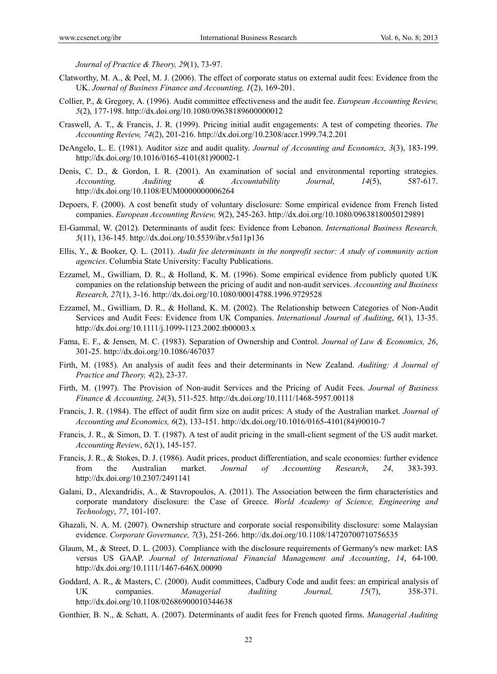*Journal of Practice & Theory, 29*(1), 73-97.

- Clatworthy, M. A., & Peel, M. J. (2006). The effect of corporate status on external audit fees: Evidence from the UK. *Journal of Business Finance and Accounting, 1*(2), 169-201.
- Collier, P., & Gregory, A. (1996). Audit committee effectiveness and the audit fee. *European Accounting Review, 5*(2), 177-198. http://dx.doi.org/10.1080/09638189600000012
- Craswell, A. T., & Francis, J. R. (1999). Pricing initial audit engagements: A test of competing theories. *The Accounting Review, 74*(2), 201-216. http://dx.doi.org/10.2308/accr.1999.74.2.201
- DeAngelo, L. E. (1981). Auditor size and audit quality. *Journal of Accounting and Economics, 3*(3), 183-199. http://dx.doi.org/10.1016/0165-4101(81)90002-1
- Denis, C. D., & Gordon, I. R. (2001). An examination of social and environmental reporting strategies. *Accounting, Auditing & Accountability Journal*, *14*(5), 587-617. http://dx.doi.org/10.1108/EUM0000000006264
- Depoers, F. (2000). A cost benefit study of voluntary disclosure: Some empirical evidence from French listed companies. *European Accounting Review, 9*(2), 245-263. http://dx.doi.org/10.1080/09638180050129891
- El-Gammal, W. (2012). Determinants of audit fees: Evidence from Lebanon. *International Business Research, 5*(11), 136-145. http://dx.doi.org/10.5539/ibr.v5n11p136
- Ellis, Y., & Booker, Q. L. (2011). *Audit fee determinants in the nonprofit sector: A study of community action agencies*. Columbia State University: Faculty Publications.
- Ezzamel, M., Gwilliam, D. R., & Holland, K. M. (1996). Some empirical evidence from publicly quoted UK companies on the relationship between the pricing of audit and non-audit services. *Accounting and Business Research, 27*(1), 3-16. http://dx.doi.org/10.1080/00014788.1996.9729528
- Ezzamel, M., Gwilliam, D. R., & Holland, K. M. (2002). The Relationship between Categories of Non‐Audit Services and Audit Fees: Evidence from UK Companies. *International Journal of Auditing*, *6*(1), 13-35. http://dx.doi.org/10.1111/j.1099-1123.2002.tb00003.x
- Fama, E. F., & Jensen, M. C. (1983). Separation of Ownership and Control. *Journal of Law & Economics, 26*, 301-25. http://dx.doi.org/10.1086/467037
- Firth, M. (1985). An analysis of audit fees and their determinants in New Zealand. *Auditing: A Journal of Practice and Theory, 4*(2), 23-37.
- Firth, M. (1997). The Provision of Non‐audit Services and the Pricing of Audit Fees. *Journal of Business Finance & Accounting, 24*(3), 511-525. http://dx.doi.org/10.1111/1468-5957.00118
- Francis, J. R. (1984). The effect of audit firm size on audit prices: A study of the Australian market. *Journal of Accounting and Economics, 6*(2), 133-151. http://dx.doi.org/10.1016/0165-4101(84)90010-7
- Francis, J. R., & Simon, D. T. (1987). A test of audit pricing in the small-client segment of the US audit market. *Accounting Review*, *62*(1), 145-157.
- Francis, J. R., & Stokes, D. J. (1986). Audit prices, product differentiation, and scale economies: further evidence from the Australian market. *Journal of Accounting Research*, *24*, 383-393. http://dx.doi.org/10.2307/2491141
- Galani, D., Alexandridis, A., & Stavropoulos, A. (2011). The Association between the firm characteristics and corporate mandatory disclosure: the Case of Greece. *World Academy of Science, Engineering and Technology*, *77*, 101-107.
- Ghazali, N. A. M. (2007). Ownership structure and corporate social responsibility disclosure: some Malaysian evidence. *Corporate Governance, 7*(3), 251-266. http://dx.doi.org/10.1108/14720700710756535
- Glaum, M., & Street, D. L. (2003). Compliance with the disclosure requirements of Germany's new market: IAS versus US GAAP. *Journal of International Financial Management and Accounting*, *14*, 64-100. http://dx.doi.org/10.1111/1467-646X.00090
- Goddard, A. R., & Masters, C. (2000). Audit committees, Cadbury Code and audit fees: an empirical analysis of UK companies. *Managerial Auditing Journal, 15*(7), 358-371. http://dx.doi.org/10.1108/02686900010344638
- Gonthier, B. N., & Schatt, A. (2007). Determinants of audit fees for French quoted firms. *Managerial Auditing*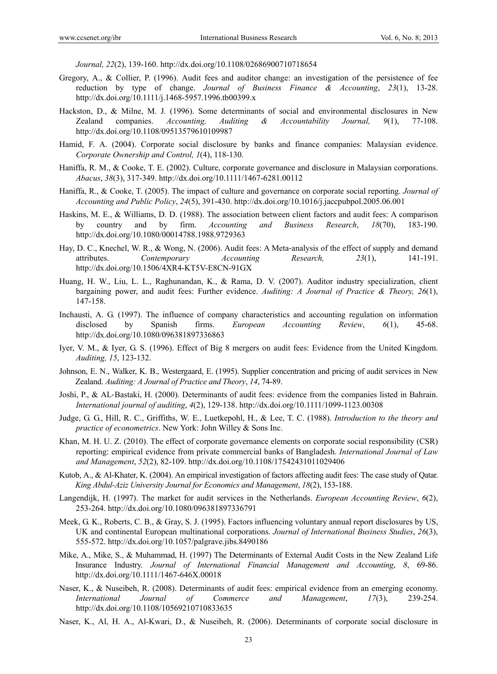*Journal, 22*(2), 139-160. http://dx.doi.org/10.1108/02686900710718654

- Gregory, A., & Collier, P. (1996). Audit fees and auditor change: an investigation of the persistence of fee reduction by type of change. *Journal of Business Finance & Accounting*, *23*(1), 13-28. http://dx.doi.org/10.1111/j.1468-5957.1996.tb00399.x
- Hackston, D., & Milne, M. J. (1996). Some determinants of social and environmental disclosures in New Zealand companies. *Accounting, Auditing & Accountability Journal, 9*(1), 77-108. http://dx.doi.org/10.1108/09513579610109987
- Hamid, F. A. (2004). Corporate social disclosure by banks and finance companies: Malaysian evidence. *Corporate Ownership and Control, 1*(4), 118-130.
- Haniffa, R. M., & Cooke, T. E. (2002). Culture, corporate governance and disclosure in Malaysian corporations. *Abacus*, *38*(3), 317-349. http://dx.doi.org/10.1111/1467-6281.00112
- Haniffa, R., & Cooke, T. (2005). The impact of culture and governance on corporate social reporting. *Journal of Accounting and Public Policy*, *24*(5), 391-430. http://dx.doi.org/10.1016/j.jaccpubpol.2005.06.001
- Haskins, M. E., & Williams, D. D. (1988). The association between client factors and audit fees: A comparison by country and by firm. *Accounting and Business Research*, *18*(70), 183-190. http://dx.doi.org/10.1080/00014788.1988.9729363
- Hay, D. C., Knechel, W. R., & Wong, N. (2006). Audit fees: A Meta-analysis of the effect of supply and demand attributes. *Contemporary Accounting Research, 23*(1), 141-191. http://dx.doi.org/10.1506/4XR4-KT5V-E8CN-91GX
- Huang, H. W., Liu, L. L., Raghunandan, K., & Rama, D. V. (2007). Auditor industry specialization, client bargaining power, and audit fees: Further evidence. *Auditing: A Journal of Practice & Theory, 26*(1), 147-158.
- Inchausti, A. G. (1997). The influence of company characteristics and accounting regulation on information disclosed by Spanish firms. *European Accounting Review*, *6*(1), 45-68. http://dx.doi.org/10.1080/096381897336863
- Iyer, V. M., & Iyer, G. S. (1996). Effect of Big 8 mergers on audit fees: Evidence from the United Kingdom. *Auditing, 15*, 123-132.
- Johnson, E. N., Walker, K. B., Westergaard, E. (1995). Supplier concentration and pricing of audit services in New Zealand. *Auditing: A Journal of Practice and Theory*, *14*, 74-89.
- Joshi, P., & AL‐Bastaki, H. (2000). Determinants of audit fees: evidence from the companies listed in Bahrain. *International journal of auditing*, *4*(2), 129-138. http://dx.doi.org/10.1111/1099-1123.00308
- Judge, G. G., Hill, R. C., Griffiths, W. E., Luetkepohl, H., & Lee, T. C. (1988). *Introduction to the theory and practice of econometrics*. New York: John Willey & Sons Inc.
- Khan, M. H. U. Z. (2010). The effect of corporate governance elements on corporate social responsibility (CSR) reporting: empirical evidence from private commercial banks of Bangladesh. *International Journal of Law and Management*, *52*(2), 82-109. http://dx.doi.org/10.1108/17542431011029406
- Kutob, A., & Al-Khater, K. (2004). An empirical investigation of factors affecting audit fees: The case study of Qatar. *King Abdul-Aziz University Journal for Economics and Management*, *18*(2), 153-188.
- Langendijk, H. (1997). The market for audit services in the Netherlands. *European Accounting Review*, *6*(2), 253-264. http://dx.doi.org/10.1080/096381897336791
- Meek, G. K., Roberts, C. B., & Gray, S. J. (1995). Factors influencing voluntary annual report disclosures by US, UK and continental European multinational corporations. *Journal of International Business Studies*, *26*(3), 555-572. http://dx.doi.org/10.1057/palgrave.jibs.8490186
- Mike, A., Mike, S., & Muhammad, H. (1997) The Determinants of External Audit Costs in the New Zealand Life Insurance Industry. *Journal of International Financial Management and Accounting*, *8*, 69-86. http://dx.doi.org/10.1111/1467-646X.00018
- Naser, K., & Nuseibeh, R. (2008). Determinants of audit fees: empirical evidence from an emerging economy. *International Journal of Commerce and Management*, *17*(3), 239-254. http://dx.doi.org/10.1108/10569210710833635
- Naser, K., Al, H. A., Al-Kwari, D., & Nuseibeh, R. (2006). Determinants of corporate social disclosure in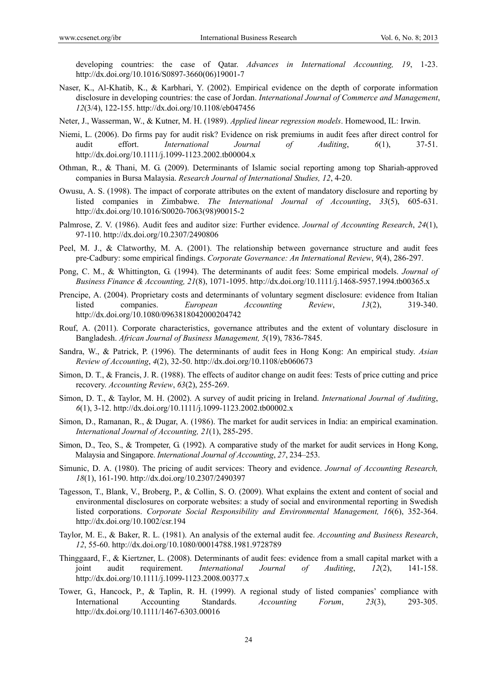developing countries: the case of Qatar. *Advances in International Accounting, 19*, 1-23. http://dx.doi.org/10.1016/S0897-3660(06)19001-7

- Naser, K., Al-Khatib, K., & Karbhari, Y. (2002). Empirical evidence on the depth of corporate information disclosure in developing countries: the case of Jordan. *International Journal of Commerce and Management*, *12*(3/4), 122-155. http://dx.doi.org/10.1108/eb047456
- Neter, J., Wasserman, W., & Kutner, M. H. (1989). *Applied linear regression models*. Homewood, IL: Irwin.
- Niemi, L. (2006). Do firms pay for audit risk? Evidence on risk premiums in audit fees after direct control for audit effort. *International Journal of Auditing*, *6*(1), 37-51. http://dx.doi.org/10.1111/j.1099-1123.2002.tb00004.x
- Othman, R., & Thani, M. G. (2009). Determinants of Islamic social reporting among top Shariah-approved companies in Bursa Malaysia. *Research Journal of International Studies, 12*, 4-20.
- Owusu, A. S. (1998). The impact of corporate attributes on the extent of mandatory disclosure and reporting by listed companies in Zimbabwe. *The International Journal of Accounting*, *33*(5), 605-631. http://dx.doi.org/10.1016/S0020-7063(98)90015-2
- Palmrose, Z. V. (1986). Audit fees and auditor size: Further evidence. *Journal of Accounting Research*, *24*(1), 97-110. http://dx.doi.org/10.2307/2490806
- Peel, M. J., & Clatworthy, M. A. (2001). The relationship between governance structure and audit fees pre‐Cadbury: some empirical findings. *Corporate Governance: An International Review*, *9*(4), 286-297.
- Pong, C. M., & Whittington, G. (1994). The determinants of audit fees: Some empirical models. *Journal of Business Finance & Accounting, 21*(8), 1071-1095. http://dx.doi.org/10.1111/j.1468-5957.1994.tb00365.x
- Prencipe, A. (2004). Proprietary costs and determinants of voluntary segment disclosure: evidence from Italian listed companies. *European Accounting Review*, *13*(2), 319-340. http://dx.doi.org/10.1080/0963818042000204742
- Rouf, A. (2011). Corporate characteristics, governance attributes and the extent of voluntary disclosure in Bangladesh. *African Journal of Business Management, 5*(19), 7836-7845.
- Sandra, W., & Patrick, P. (1996). The determinants of audit fees in Hong Kong: An empirical study. *Asian Review of Accounting*, *4*(2), 32-50. http://dx.doi.org/10.1108/eb060673
- Simon, D. T., & Francis, J. R. (1988). The effects of auditor change on audit fees: Tests of price cutting and price recovery. *Accounting Review*, *63*(2), 255-269.
- Simon, D. T., & Taylor, M. H. (2002). A survey of audit pricing in Ireland. *International Journal of Auditing*, *6*(1), 3-12. http://dx.doi.org/10.1111/j.1099-1123.2002.tb00002.x
- Simon, D., Ramanan, R., & Dugar, A. (1986). The market for audit services in India: an empirical examination. *International Journal of Accounting, 21*(1), 285-295.
- Simon, D., Teo, S., & Trompeter, G. (1992). A comparative study of the market for audit services in Hong Kong, Malaysia and Singapore. *International Journal of Accounting*, *27*, 234–253.
- Simunic, D. A. (1980). The pricing of audit services: Theory and evidence. *Journal of Accounting Research, 18*(1), 161-190. http://dx.doi.org/10.2307/2490397
- Tagesson, T., Blank, V., Broberg, P., & Collin, S. O. (2009). What explains the extent and content of social and environmental disclosures on corporate websites: a study of social and environmental reporting in Swedish listed corporations. *Corporate Social Responsibility and Environmental Management, 16*(6), 352-364. http://dx.doi.org/10.1002/csr.194
- Taylor, M. E., & Baker, R. L. (1981). An analysis of the external audit fee. *Accounting and Business Research*, *12*, 55-60. http://dx.doi.org/10.1080/00014788.1981.9728789
- Thinggaard, F., & Kiertzner, L. (2008). Determinants of audit fees: evidence from a small capital market with a joint audit requirement. *International Journal of Auditing*, *12*(2), 141-158. http://dx.doi.org/10.1111/j.1099-1123.2008.00377.x
- Tower, G., Hancock, P., & Taplin, R. H. (1999). A regional study of listed companies' compliance with International Accounting Standards. *Accounting Forum*, *23*(3), 293-305. http://dx.doi.org/10.1111/1467-6303.00016